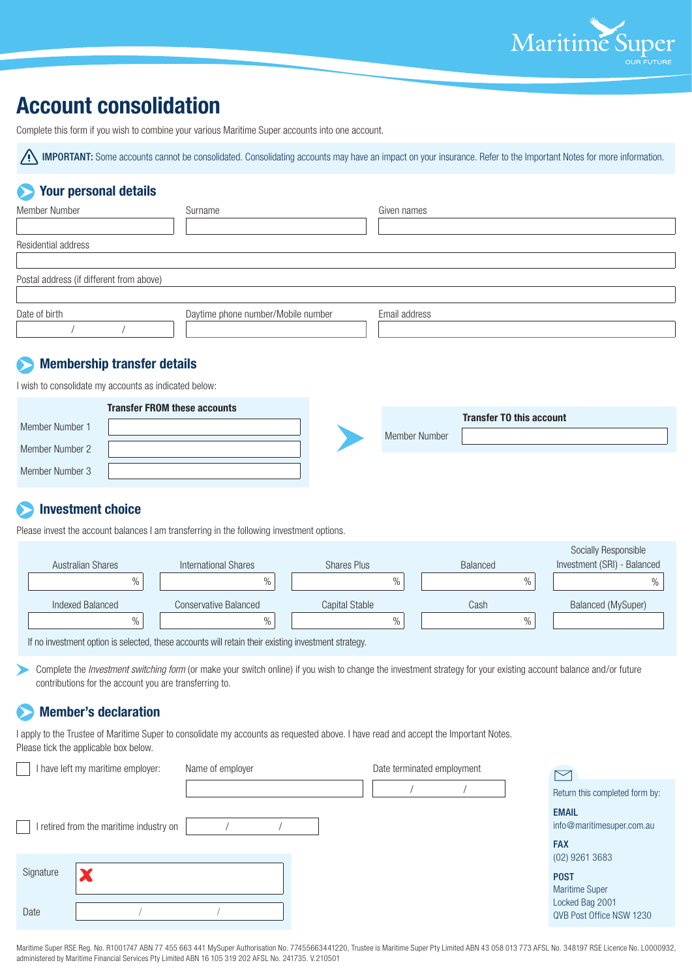

# **Account consolidation**

Complete this form if you wish to combine your various Maritime Super accounts into one account.

**IMPORTANT:** Some accounts cannot be consolidated. Consolidating accounts may have an impact on your insurance. Refer to the Important Notes for more information.

### **Your personal details**

| Member Number                            | Surname                            | Given names   |
|------------------------------------------|------------------------------------|---------------|
| Residential address                      |                                    |               |
| Postal address (if different from above) |                                    |               |
|                                          |                                    |               |
| Date of birth                            | Daytime phone number/Mobile number | Email address |

#### **Membership transfer details**

I wish to consolidate my accounts as indicated below:

| <b>Transfer FROM these accounts</b> |  |               | <b>Transfer TO this account</b> |
|-------------------------------------|--|---------------|---------------------------------|
| Member Number 1                     |  | Member Number |                                 |
| Member Number 2                     |  |               |                                 |
| Member Number 3                     |  |               |                                 |

## **Investment choice**

Please invest the account balances I am transferring in the following investment options.

|                                                                                                    |                       |                       |                 | <b>Socially Responsible</b> |  |
|----------------------------------------------------------------------------------------------------|-----------------------|-----------------------|-----------------|-----------------------------|--|
| Australian Shares                                                                                  | International Shares  | Shares Plus           | <b>Balanced</b> | Investment (SRI) - Balanced |  |
| $\%$                                                                                               | $\%$                  | %                     | $\%$            | 0/2                         |  |
| Indexed Balanced                                                                                   | Conservative Balanced | <b>Capital Stable</b> | Cash            | <b>Balanced (MySuper)</b>   |  |
| $\%$                                                                                               | $\frac{0}{0}$         | $\%$                  | $\frac{0}{0}$   |                             |  |
| If no invoorment ontion is selected, these esseurts will retain their evisting investment strategy |                       |                       |                 |                             |  |

If no investment option is selected, these accounts will retain their existing investment strategy.

Complete the *Investment switching form* (or make your switch online) if you wish to change the investment strategy for your existing account balance and/or future contributions for the account you are transferring to.

### **Member's declaration**

I apply to the Trustee of Maritime Super to consolidate my accounts as requested above. I have read and accept the Important Notes. Please tick the applicable box below.

| I have left my maritime employer:       | Name of employer | Date terminated employment | $\triangleright$                            |
|-----------------------------------------|------------------|----------------------------|---------------------------------------------|
|                                         |                  |                            | Return this completed form by:              |
| I retired from the maritime industry on |                  |                            | <b>EMAIL</b><br>info@maritimesuper.com.au   |
|                                         |                  |                            | <b>FAX</b><br>$(02)$ 9261 3683              |
| Signature<br>$\overline{\phantom{a}}$   |                  |                            | <b>POST</b><br><b>Maritime Super</b>        |
| Date                                    |                  |                            | Locked Bag 2001<br>QVB Post Office NSW 1230 |

Maritime Super RSE Reg. No. R1001747 ABN 77 455 663 441 MySuper Authorisation No. 77455663441220, Trustee is Maritime Super Pty Limited ABN 43 058 013 773 AFSL No. 348197 RSE Licence No. L0000932, administered by Maritime Financial Services Pty Limited ABN 16 105 319 202 AFSL No. 241735. V.210501